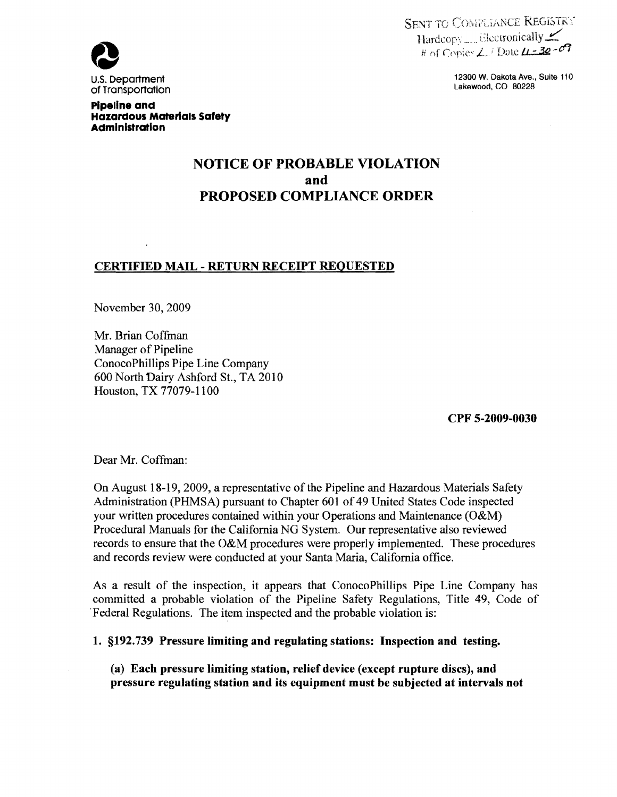

). Department 12300 W. Dakota Ave., Suite 110<br>Transportation



pipeline and Hazardous Materials Safety Administration

# NOTICE OF PROBABLE VIOLATION and PROPOSED COMPLIANCE ORDER

#### CERTIFIED MAIL - RETURN RECEIPT REQUESTED

November 30, 2009

Mr. Brian Coffinan Manager of Pipeline ConocoPhillips Pipe Line Company 600 North Dairy Ashford St., TA 2010 Houston, TX 77079-1100

CPF 5-2009-0030

Dear Mr. Coffman:

On August 18-19, 2009, a representative of the Pipeline and Hazardous Materials Safety Administration (PHMSA) pursuant to Chapter 601 of 49 United States Code inspected your written procedures contained within your Operations and Maintenance (O&M) Procedural Manuals for the California NG System. Our representative also reviewed records to ensure that the O&M procedures were properly implemented. These procedures and records review were conducted at your Santa Maria, California office.

As a result of the inspection, it appears that ConocoPhillips Pipe Line Company has committed a probable violation of the Pipeline Safety Regulations, Title 49, Code of 'Federal Regulations. The item inspected and the probable violation is:

1. §192.739 Pressure limiting and regulating stations: Inspection and testing.

(a) Each pressure limiting station, relief device (except rupture discs), and pressure regulating station and its equipment must be subjected at intervals not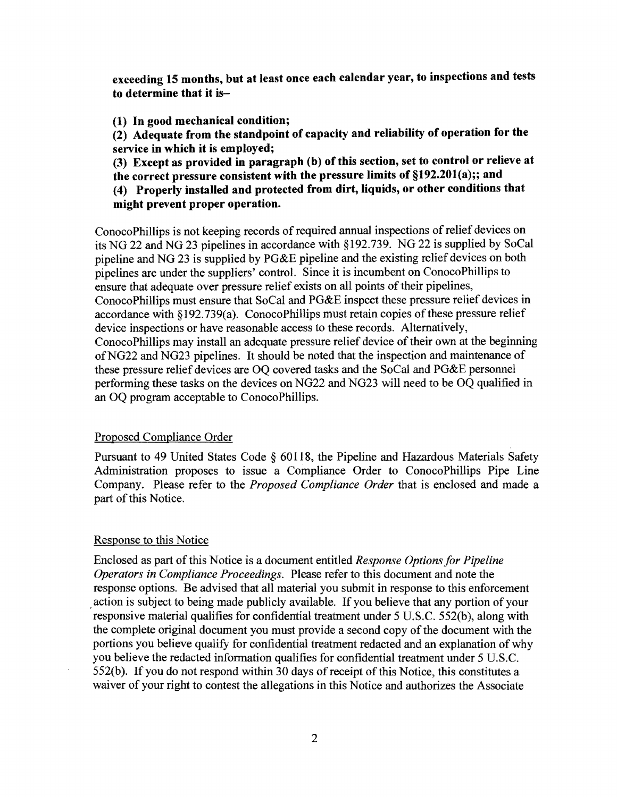exceeding 15 months, but at least once each calendar year, to inspections and tests to determine that it is

(1) In good mechanical condition;

(2) Adequate from the standpoint of capacity and reliability of operation for the service in which it is employed;

(3) Except as provided in paragraph (b) of this section, set to control or relieve at the correct pressure consistent with the pressure limits of §192.201(a);; and

(4) Properly installed and protected from dirt, liquids, or other conditions that might prevent proper operation.

ConocoPhillips is not keeping records of required annual inspections of relief devices on its NO 22 and NO 23 pipelines in accordance with §192.739. NO 22 is supplied by SoCal pipeline and NO 23 is supplied by PO&E pipeline and the existing relief devices on both pipelines are under the suppliers' control. Since it is incumbent on ConocoPhillips to ensure that adequate over pressure relief exists on all points of their pipelines, ConocoPhillips must ensure that SoCal and PO&E inspect these pressure relief devices in accordance with  $\S 192.739(a)$ . ConocoPhillips must retain copies of these pressure relief device inspections or have reasonable access to these records. Alternatively, ConocoPhillips may install an adequate pressure relief device of their own at the beginning ofN022 and N023 pipelines. It should be noted that the inspection and maintenance of these pressure relief devices are OQ covered tasks and the SoCal and PO&E personnel performing these tasks on the devices on N022 and N023 will need to be OQ qualified in an OQ program acceptable to ConocoPhillips.

#### Proposed Compliance Order

Pursuant to 49 United States Code § 60118, the Pipeline and Hazardous Materials Safety Administration proposes to issue a Compliance Order to ConocoPhillips Pipe Line Company. Please refer to the *Proposed Compliance Order* that is enclosed and made a part of this Notice.

#### Response to this Notice

Enclosed as part of this Notice is a document entitled *Response Options for Pipeline Operators in Compliance Proceedings.* Please refer to this document and note the response options. Be advised that all material you submit in response to this enforcement action is subject to being made publicly available. If you believe that any portion of your responsive material qualifies for confidential treatment under 5 U.S.C. 552(b), along with the complete original document you must provide a second copy of the document with the portions you believe qualify for confidential treatment redacted and an explanation of why you believe the redacted infonnation qualifies for confidential treatment under 5 U.S.C.  $552(b)$ . If you do not respond within 30 days of receipt of this Notice, this constitutes a waiver of your right to contest the allegations in this Notice and authorizes the Associate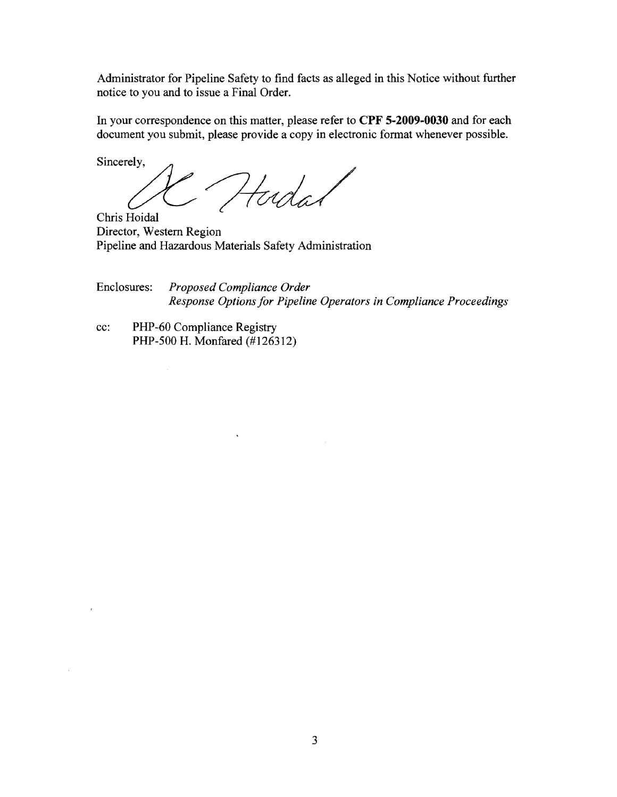Administrator for Pipeline Safety to find facts as alleged in this Notice without further notice to you and to issue a Final Order.

In your correspondence on this matter, please refer to CPF 5-2009-0030 and for each document you submit, please provide a copy in electronic format whenever possible.

Sincerely,

Y Hudas

Chris Hoidal Director, Western Region Pipeline and Hazardous Materials Safety Administration

 $\hat{\textbf{z}}$ 

Enclosures: *Proposed Compliance Order Response Options for Pipeline Operators in Compliance Proceedings* 

cc: PHP-60 Compliance Registry PHP-500 H. Monfared (#126312)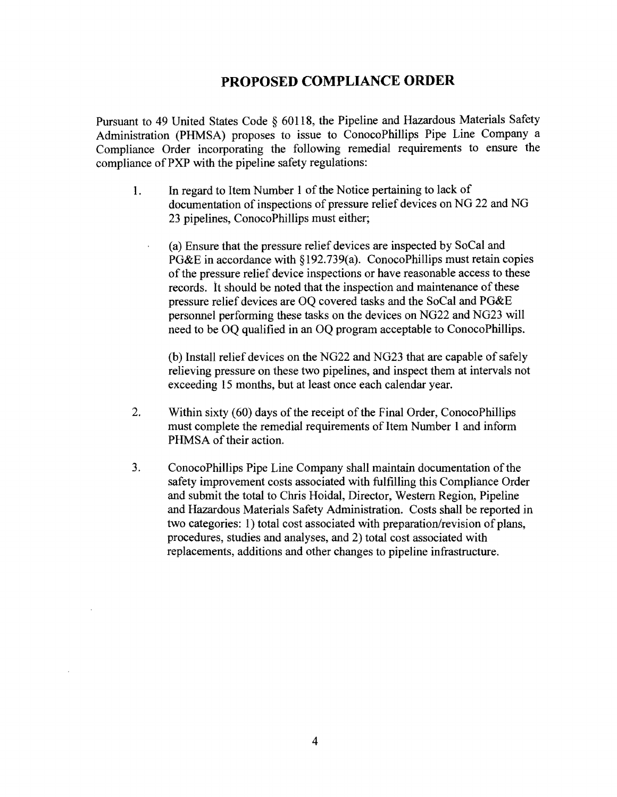# **PROPOSED COMPLIANCE ORDER**

Pursuant to 49 United States Code § 60118, the Pipeline and Hazardous Materials Safety Administration (PHMSA) proposes to issue to ConocoPhillips Pipe Line Company a Compliance Order incorporating the following remedial requirements to ensure the compliance of PXP with the pipeline safety regulations:

- 1. In regard to Item Number 1 of the Notice pertaining to lack of documentation of inspections of pressure relief devices on NG 22 and NG 23 pipelines, ConocoPhillips must either;
	- (a) Ensure that the pressure relief devices are inspected by SoCal and PG&E in accordance with §192.739(a). ConocoPhillips must retain copies of the pressure relief device inspections or have reasonable access to these records. It should be noted that the inspection and maintenance of these pressure relief devices are OQ covered tasks and the SoCal and PG&E personnel performing these tasks on the devices on NG22 and NG23 will need to be OQ qualified in an OQ program acceptable to ConocoPhillips.

(b) Install relief devices on the NG22 and NG23 that are capable of safely relieving pressure on these two pipelines, and inspect them at intervals not exceeding 15 months, but at least once each calendar year.

- 2. Within sixty (60) days of the receipt of the Final Order, ConocoPhillips must complete the remedial requirements of Item Number 1 and inform PHMSA of their action.
- 3. ConocoPhillips Pipe Line Company shall maintain documentation of the safety improvement costs associated with fulfilling this Compliance Order and submit the total to Chris Hoidal, Director, Western Region, Pipeline and Hazardous Materials Safety Administration. Costs shall be reported in two categories: 1) total cost associated with preparation/revision of plans, procedures, studies and analyses, and 2) total cost associated with replacements, additions and other changes to pipeline infrastructure.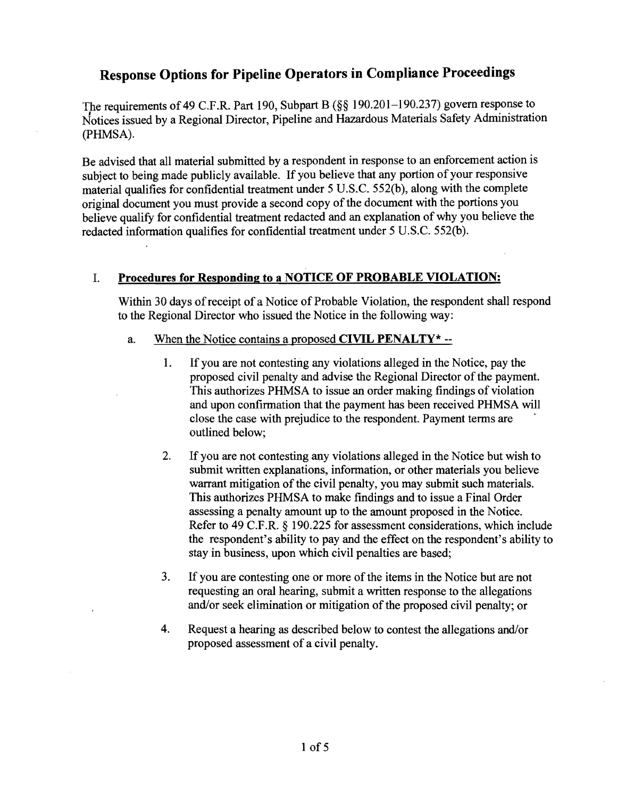# Response Options for Pipeline Operators in Compliance Proceedings

The requirements of49 C.F.R. Part 190, Subpart B (§§ 190.201-190.237) govern response to Notices issued by a Regional Director, Pipeline and Hazardous Materials Safety Administration (pHMSA).

Be advised that all material submitted by a respondent in response to an enforcement action is subject to being made publicly available. If you believe that any portion of your responsive material qualifies for confidential treatment under 5 U.S.C. 552(b), along with the complete original document you must provide a second copy of the document with the portions you believe qualify for confidential treatment redacted and an explanation of why you believe the redacted information qualifies for confidential treatment under 5 U.S.C. 552(b).

#### L Procedures for Responding to a NOTICE OF PROBABLE VIOLATION:

Within 30 days ofreceipt of a Notice of Probable Violation, the respondent shall respond to the Regional Director who issued the Notice in the following way:

- a. When the Notice contains a proposed CIVIL PENALTY\*  $-$ 
	- I. If you are not contesting any violations alleged in the Notice, pay the proposed civil penalty and advise the Regional Director of the payment. This authorizes PHMSA to issue an order making findings of violation and upon confirmation that the payment has been received PHMSA will close the case with prejudice to the respondent. Payment terms are outlined below;
	- 2. If you are not contesting any violations alleged in the Notice but wish to submit written explanations, information, or other materials you believe warrant mitigation of the civil penalty, you may submit such materials. This authorizes PHMSA to make findings and to issue a Final Order assessing a penalty amount up to the amount proposed in the Notice. Refer to 49 C.F.R. § 190.225 for assessment considerations, which include the respondent's ability to pay and the effect on the respondent's ability to stay in business, upon which civil penalties are based;
	- 3. If you are contesting one or more of the items in the Notice but are not requesting an oral hearing, submit a written response to the allegations and/or seek elimination or mitigation of the proposed civil penalty; or
	- 4. Request a hearing as described below to contest the allegations and/or proposed assessment of a civil penalty.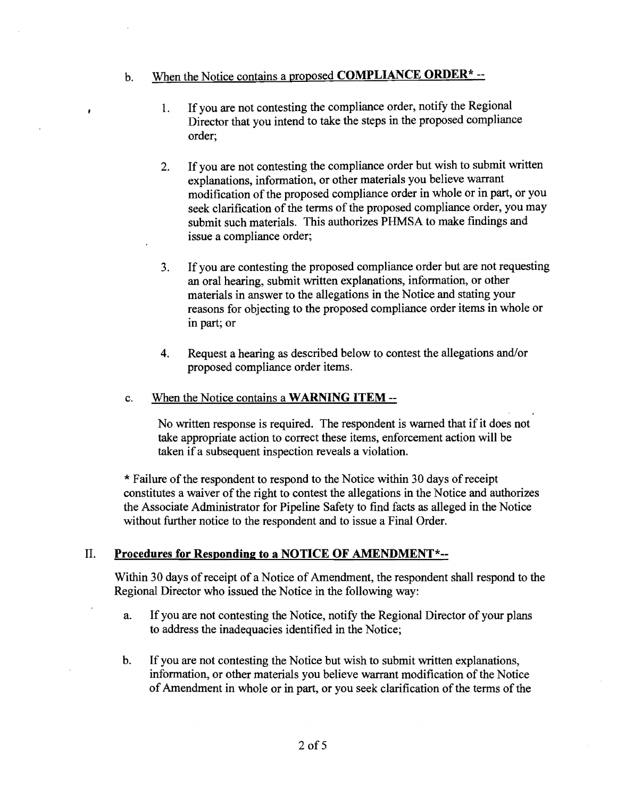### b. When the Notice contains a proposed COMPLIANCE ORDER\* --

- 1. If you are not contesting the compliance order, notify the Regional Director that you intend to take the steps in the proposed compliance order;
- 2. If you are not contesting the compliance order but wish to submit written explanations, information, or other materials you believe warrant modification of the proposed compliance order in whole or in part, or you seek clarification of the terms of the proposed compliance order, you may submit such materials. This authorizes PHMSA to make findings and issue a compliance order;
- 3. If you are contesting the proposed compliance order but are not requesting an oral hearing, submit written explanations, information, or other materials in answer to the allegations in the Notice and stating your reasons for objecting to the proposed compliance order items in whole or in part; or
- 4. Request a hearing as described below to contest the allegations and/or proposed compliance order items.

#### c. When the Notice contains a WARNING ITEM --

No written response is required. The respondent is warned that if it does not take appropriate action to correct these items, enforcement action will be taken if a subsequent inspection reveals a violation.

\* Failure of the respondent to respond to the Notice within 30 days of receipt constitutes a waiver of the right to contest the allegations in the Notice and authorizes the Associate Administrator for Pipeline Safety to find facts as alleged in the Notice without further notice to the respondent and to issue a Final Order.

#### II. **Procedures for Responding to a** NOTICE **OF** AMENDMENT\*-

Within 30 days of receipt of a Notice of Amendment, the respondent shall respond to the Regional Director who issued the Notice in the following way:

- a. If you are not contesting the Notice, notify the Regional Director ofyour plans to address the inadequacies identified in the Notice;
- b. If you are not contesting the Notice but wish to submit written explanations, information, or other materials you believe warrant modification of the Notice of Amendment in whole or in part, or you seek clarification of the terms of the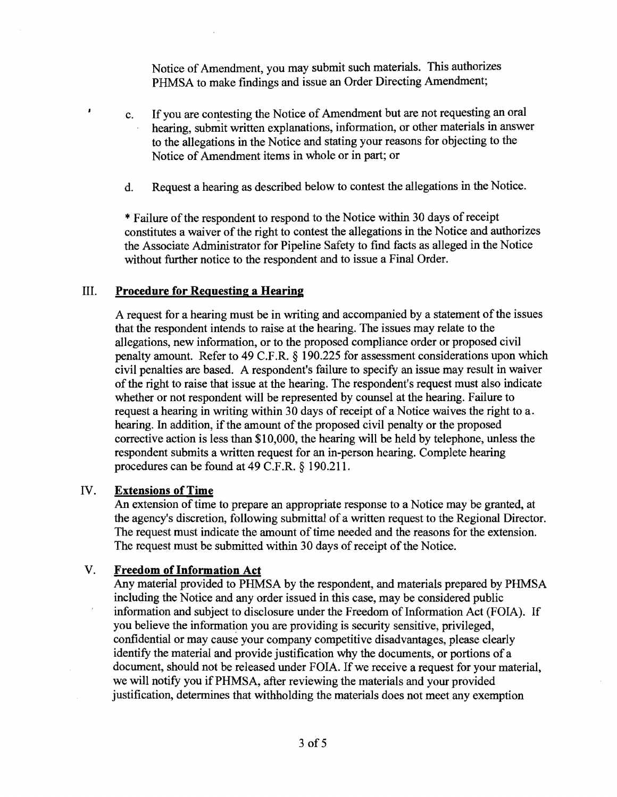Notice of Amendment, you may submit such materials. This authorizes PHMSA to make findings and issue an Order Directing Amendment;

- c. If you are contesting the Notice of Amendment but are not requesting an oral hearing, submit written explanations, information, or other materials in answer to the allegations in the Notice and stating your reasons for objecting to the Notice of Amendment items in whole or in part; or
- d. Request a hearing as described below to contest the allegations in the Notice.

\* Failure of the respondent to respond to the Notice within 30 days of receipt constitutes a waiver of the right to contest the allegations in the Notice and authorizes the Associate Administrator for Pipeline Safety to find facts as alleged in the Notice without further notice to the respondent and to issue a Final Order.

#### III. Procedure for Requesting a Hearing

A request for a hearing must be in writing and accompanied by a statement of the issues that the respondent intends to raise at the hearing. The issues may relate to the allegations, new information, or to the proposed compliance order or proposed civil penalty amount. Refer to 49 C.F.R. § 190.225 for assessment considerations upon which civil penalties are based. A respondent's failure to specify an issue may result in waiver of the right to raise that issue at the hearing. The respondent's request must also indicate whether or not respondent will be represented by counsel at the hearing. Failure to request a hearing in writing within 30 days of receipt of a Notice waives the right to a. hearing. In addition, if the amount of the proposed civil penalty or the proposed corrective action is less than \$10,000, the hearing will be held by telephone, unless the respondent submits a written request for an in-person hearing. Complete hearing procedures can be found at 49 C.F.R. § 190.211.

#### IV. Extensions of Time

 $\lambda$ 

An extension of time to prepare an appropriate response to a Notice may be granted, at the agency's discretion, following submittal of a written request to the Regional Director. The request must indicate the amount of time needed and the reasons for the extension. The request must be submitted within 30 days of receipt of the Notice.

#### V. Freedom of Information Act

Any material provided to PHMSA by the respondent, and materials prepared by PHMSA including the Notice and any order issued in this case, may be considered public information and subject to disclosure under the Freedom of Information Act (FOIA). If you believe the information you are providing is security sensitive, privileged, confidential or may cause your company competitive disadvantages, please clearly identify the material and provide justification why the documents, or portions of a document, should not be released under FOIA. If we receive a request for your material, we will notify you if PHMSA, after reviewing the materials and your provided justification, determines that withholding the materials does not meet any exemption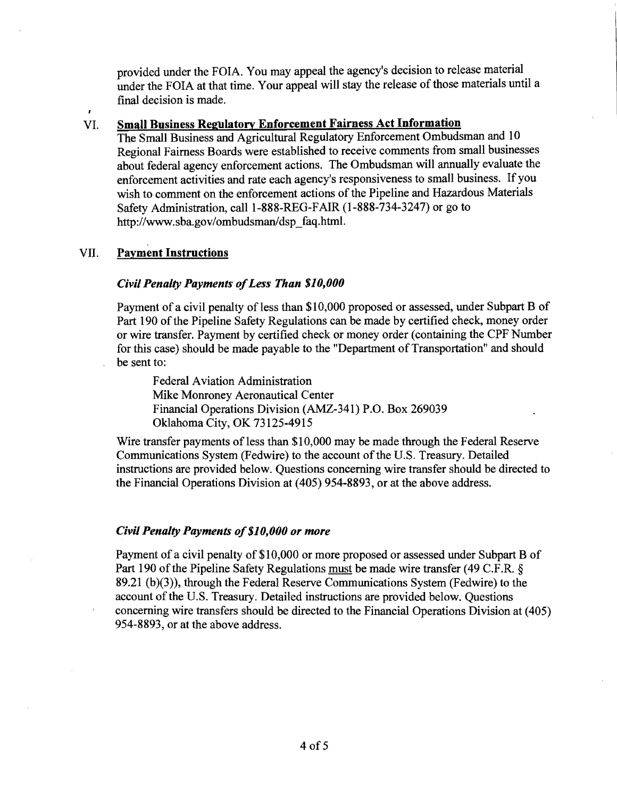provided under the FOIA. You may appeal the agency's decision to release material under the FOIA at that time. Your appeal will stay the release of those materials until a final decision is made.

#### VI. Small Business Regulatory Enforcement Fairness Act Information

The Small Business and Agricultural Regulatory Enforcement Ombudsman and 10 Regional Fairness Boards were established to receive comments from small businesses about federal agency enforcement actions. The Ombudsman will annually evaluate the enforcement activities and rate each agency's responsiveness to small business. If you wish to comment on the enforcement actions of the Pipeline and Hazardous Materials Safety Administration, call 1-888-REG-FAIR (1-888-734-3247) or go to http://www.sba.gov/ombudsman/dsp\_faq.html.

#### VII. Payment Instructions

#### *Civil Penalty Payments ofLess Than \$10,000*

Payment of a civil penalty of less than \$10,000 proposed or assessed, under Subpart B of Part 190 of the Pipeline Safety Regulations can be made by certified check, money order or wire transfer. Payment by certified check or money order (containing the CPF Number for this case) should be made payable to the "Department of Transportation" and should be sent to:

Federal Aviation Administration Mike Monroney Aeronautical Center Financial Operations Division (AMZ-341) P.O. Box 269039 Oklahoma City, OK 73125-4915

Wire transfer payments of less than \$10,000 may be made through the Federal Reserve Communications System (Fedwire) to the account of the U.S. Treasury. Detailed instructions are provided below. Questions concerning wire transfer should be directed to the Financial Operations Division at (405) 954-8893, or at the above address.

#### *Civil Penalty Payments of*\$1*0,000 or more*

Payment of a civil penalty of \$10,000 or more proposed or assessed under Subpart B of Part 190 of the Pipeline Safety Regulations must be made wire transfer (49 C.F.R. § 89.21 (b)(3)), through the Federal Reserve Communications System (Fedwire) to the account of the U.S. Treasury. Detailed instructions are provided below. Questions concerning wire transfers should be directed to the Financial Operations Division at (405) 954-8893, or at the above address.